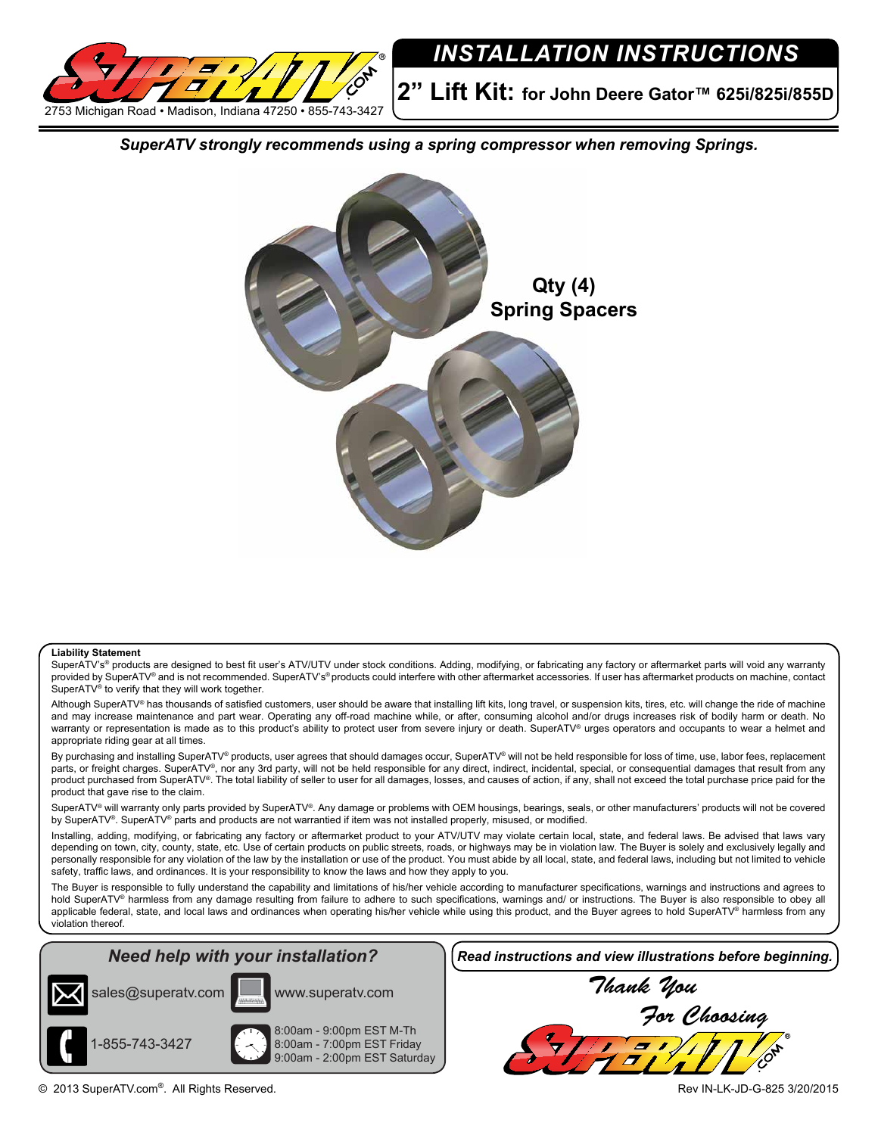

## *INSTALLATION INSTRUCTIONS*

**2" Lift Kit: for John Deere Gator™ 625i/825i/855D**

*SuperATV strongly recommends using a spring compressor when removing Springs.*



## **Liability Statement**

SuperATV's® products are designed to best fit user's ATV/UTV under stock conditions. Adding, modifying, or fabricating any factory or aftermarket parts will void any warranty provided by SuperATV® and is not recommended. SuperATV's® products could interfere with other aftermarket accessories. If user has aftermarket products on machine, contact SuperATV<sup>®</sup> to verify that they will work together.

Although SuperATV® has thousands of satisfied customers, user should be aware that installing lift kits, long travel, or suspension kits, tires, etc. will change the ride of machine and may increase maintenance and part wear. Operating any off-road machine while, or after, consuming alcohol and/or drugs increases risk of bodily harm or death. No warranty or representation is made as to this product's ability to protect user from severe injury or death. SuperATV® urges operators and occupants to wear a helmet and appropriate riding gear at all times.

By purchasing and installing SuperATV® products, user agrees that should damages occur, SuperATV® will not be held responsible for loss of time, use, labor fees, replacement parts, or freight charges. SuperATV®, nor any 3rd party, will not be held responsible for any direct, indirect, incidental, special, or consequential damages that result from any product purchased from SuperATV®. The total liability of seller to user for all damages, losses, and causes of action, if any, shall not exceed the total purchase price paid for the product that gave rise to the claim.

SuperATV® will warranty only parts provided by SuperATV®. Any damage or problems with OEM housings, bearings, seals, or other manufacturers' products will not be covered by SuperATV®. SuperATV® parts and products are not warrantied if item was not installed properly, misused, or modified.

Installing, adding, modifying, or fabricating any factory or aftermarket product to your ATV/UTV may violate certain local, state, and federal laws. Be advised that laws vary depending on town, city, county, state, etc. Use of certain products on public streets, roads, or highways may be in violation law. The Buyer is solely and exclusively legally and personally responsible for any violation of the law by the installation or use of the product. You must abide by all local, state, and federal laws, including but not limited to vehicle safety, traffic laws, and ordinances. It is your responsibility to know the laws and how they apply to you.

The Buyer is responsible to fully understand the capability and limitations of his/her vehicle according to manufacturer specifications, warnings and instructions and agrees to hold SuperATV® harmless from any damage resulting from failure to adhere to such specifications, warnings and/ or instructions. The Buyer is also responsible to obey all applicable federal, state, and local laws and ordinances when operating his/her vehicle while using this product, and the Buyer agrees to hold SuperATV® harmless from any violation thereof.

## *Need help with your installation?*





8:00am - 9:00pm EST M-Th 8:00am - 7:00pm EST Friday 9:00am - 2:00pm EST Saturday *Read instructions and view illustrations before beginning.*



© 2013 SuperATV.com®. All Rights Reserved. Rev IN-LK-JD-G-825 3/20/2015